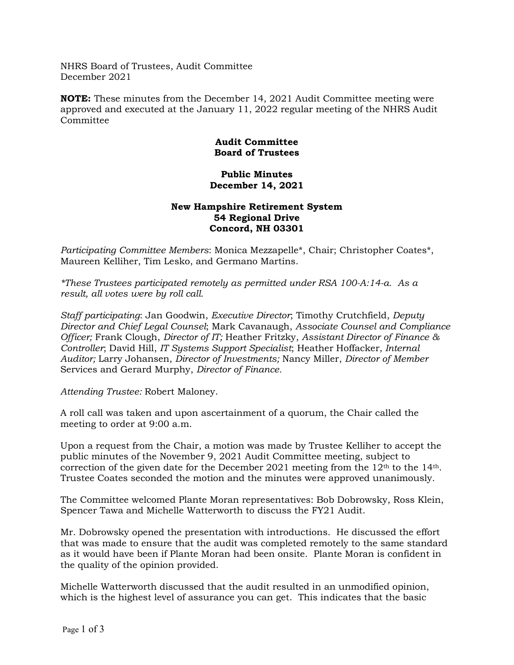NHRS Board of Trustees, Audit Committee December 2021

**NOTE:** These minutes from the December 14, 2021 Audit Committee meeting were approved and executed at the January 11, 2022 regular meeting of the NHRS Audit Committee

## **Audit Committee Board of Trustees**

## **Public Minutes December 14, 2021**

## **New Hampshire Retirement System 54 Regional Drive Concord, NH 03301**

*Participating Committee Members*: Monica Mezzapelle\*, Chair; Christopher Coates\*, Maureen Kelliher, Tim Lesko, and Germano Martins.

*\*These Trustees participated remotely as permitted under RSA 100-A:14-a. As a result, all votes were by roll call.*

*Staff participating*: Jan Goodwin, *Executive Director*; Timothy Crutchfield, *Deputy Director and Chief Legal Counsel*; Mark Cavanaugh, *Associate Counsel and Compliance Officer;* Frank Clough, *Director of IT;* Heather Fritzky, *Assistant Director of Finance & Controller*; David Hill, *IT Systems Support Specialist*; Heather Hoffacker, *Internal Auditor;* Larry Johansen, *Director of Investments;* Nancy Miller, *Director of Member*  Services and Gerard Murphy, *Director of Finance.*

*Attending Trustee:* Robert Maloney.

A roll call was taken and upon ascertainment of a quorum, the Chair called the meeting to order at 9:00 a.m.

Upon a request from the Chair, a motion was made by Trustee Kelliher to accept the public minutes of the November 9, 2021 Audit Committee meeting, subject to correction of the given date for the December 2021 meeting from the  $12<sup>th</sup>$  to the  $14<sup>th</sup>$ . Trustee Coates seconded the motion and the minutes were approved unanimously.

The Committee welcomed Plante Moran representatives: Bob Dobrowsky, Ross Klein, Spencer Tawa and Michelle Watterworth to discuss the FY21 Audit.

Mr. Dobrowsky opened the presentation with introductions. He discussed the effort that was made to ensure that the audit was completed remotely to the same standard as it would have been if Plante Moran had been onsite. Plante Moran is confident in the quality of the opinion provided.

Michelle Watterworth discussed that the audit resulted in an unmodified opinion, which is the highest level of assurance you can get. This indicates that the basic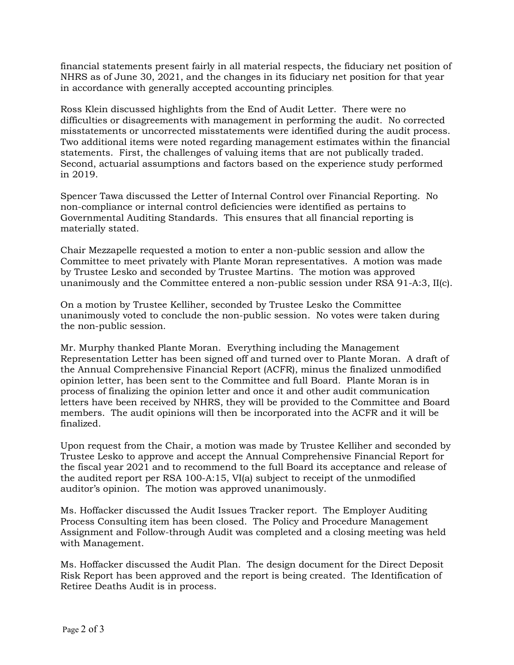financial statements present fairly in all material respects, the fiduciary net position of NHRS as of June 30, 2021, and the changes in its fiduciary net position for that year in accordance with generally accepted accounting principles.

Ross Klein discussed highlights from the End of Audit Letter. There were no difficulties or disagreements with management in performing the audit. No corrected misstatements or uncorrected misstatements were identified during the audit process. Two additional items were noted regarding management estimates within the financial statements. First, the challenges of valuing items that are not publically traded. Second, actuarial assumptions and factors based on the experience study performed in 2019.

Spencer Tawa discussed the Letter of Internal Control over Financial Reporting. No non-compliance or internal control deficiencies were identified as pertains to Governmental Auditing Standards. This ensures that all financial reporting is materially stated.

Chair Mezzapelle requested a motion to enter a non-public session and allow the Committee to meet privately with Plante Moran representatives. A motion was made by Trustee Lesko and seconded by Trustee Martins. The motion was approved unanimously and the Committee entered a non-public session under RSA 91-A:3, II(c).

On a motion by Trustee Kelliher, seconded by Trustee Lesko the Committee unanimously voted to conclude the non-public session. No votes were taken during the non-public session.

Mr. Murphy thanked Plante Moran. Everything including the Management Representation Letter has been signed off and turned over to Plante Moran. A draft of the Annual Comprehensive Financial Report (ACFR), minus the finalized unmodified opinion letter, has been sent to the Committee and full Board. Plante Moran is in process of finalizing the opinion letter and once it and other audit communication letters have been received by NHRS, they will be provided to the Committee and Board members. The audit opinions will then be incorporated into the ACFR and it will be finalized.

Upon request from the Chair, a motion was made by Trustee Kelliher and seconded by Trustee Lesko to approve and accept the Annual Comprehensive Financial Report for the fiscal year 2021 and to recommend to the full Board its acceptance and release of the audited report per RSA 100-A:15, VI(a) subject to receipt of the unmodified auditor's opinion. The motion was approved unanimously.

Ms. Hoffacker discussed the Audit Issues Tracker report. The Employer Auditing Process Consulting item has been closed. The Policy and Procedure Management Assignment and Follow-through Audit was completed and a closing meeting was held with Management.

Ms. Hoffacker discussed the Audit Plan. The design document for the Direct Deposit Risk Report has been approved and the report is being created. The Identification of Retiree Deaths Audit is in process.